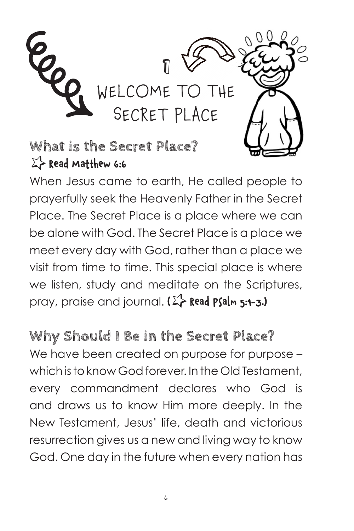

**What is the Secret Place?**  $\Sigma$ > Read Matthew 6:6

When Jesus came to earth, He called people to prayerfully seek the Heavenly Father in the Secret Place. The Secret Place is a place where we can be alone with God. The Secret Place is a place we meet every day with God, rather than a place we visit from time to time. This special place is where we listen, study and meditate on the Scriptures, pray, praise and journal. **(**q **Read Psalm 5:1-3.)** 

**Why Should I Be in the Secret Place?** We have been created on purpose for purpose which is to know God forever. In the Old Testament, every commandment declares who God is and draws us to know Him more deeply. In the New Testament, Jesus' life, death and victorious resurrection gives us a new and living way to know God. One day in the future when every nation has